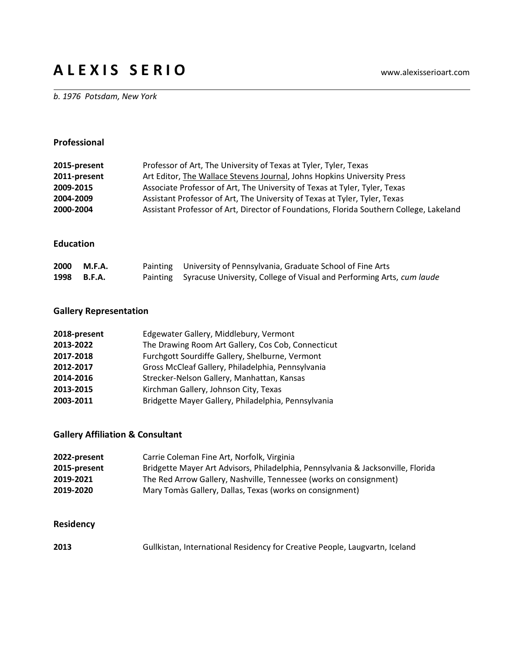# **A L E X I S S E R I O** www.alexisserioart.com

## *b. 1976 Potsdam, New York*

## **Professional**

| 2015-present | Professor of Art, The University of Texas at Tyler, Tyler, Texas                        |
|--------------|-----------------------------------------------------------------------------------------|
| 2011-present | Art Editor, The Wallace Stevens Journal, Johns Hopkins University Press                 |
| 2009-2015    | Associate Professor of Art, The University of Texas at Tyler, Tyler, Texas              |
| 2004-2009    | Assistant Professor of Art, The University of Texas at Tyler, Tyler, Texas              |
| 2000-2004    | Assistant Professor of Art, Director of Foundations, Florida Southern College, Lakeland |

#### **Education**

| 2000 | M.F.A.        | Painting University of Pennsylvania, Graduate School of Fine Arts              |
|------|---------------|--------------------------------------------------------------------------------|
| 1998 | <b>B.F.A.</b> | Painting Syracuse University, College of Visual and Performing Arts, cum laude |

# **Gallery Representation**

| 2018-present | Edgewater Gallery, Middlebury, Vermont              |
|--------------|-----------------------------------------------------|
| 2013-2022    | The Drawing Room Art Gallery, Cos Cob, Connecticut  |
| 2017-2018    | Furchgott Sourdiffe Gallery, Shelburne, Vermont     |
| 2012-2017    | Gross McCleaf Gallery, Philadelphia, Pennsylvania   |
| 2014-2016    | Strecker-Nelson Gallery, Manhattan, Kansas          |
| 2013-2015    | Kirchman Gallery, Johnson City, Texas               |
| 2003-2011    | Bridgette Mayer Gallery, Philadelphia, Pennsylvania |

# **Gallery Affiliation & Consultant**

| 2022-present | Carrie Coleman Fine Art, Norfolk, Virginia                                       |
|--------------|----------------------------------------------------------------------------------|
| 2015-present | Bridgette Mayer Art Advisors, Philadelphia, Pennsylvania & Jacksonville, Florida |
| 2019-2021    | The Red Arrow Gallery, Nashville, Tennessee (works on consignment)               |
| 2019-2020    | Mary Tomàs Gallery, Dallas, Texas (works on consignment)                         |

# **Residency**

| 2013<br>Gullkistan, International Residency for Creative People, Laugvartn, Iceland |  |
|-------------------------------------------------------------------------------------|--|
|-------------------------------------------------------------------------------------|--|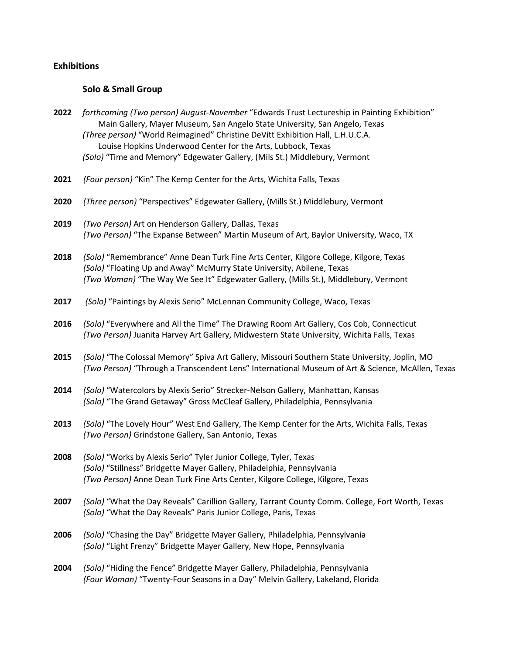# **Exhibitions**

# **Solo & Small Group**

| 2022 | forthcoming (Two person) August-November "Edwards Trust Lectureship in Painting Exhibition"<br>Main Gallery, Mayer Museum, San Angelo State University, San Angelo, Texas<br>(Three person) "World Reimagined" Christine DeVitt Exhibition Hall, L.H.U.C.A.<br>Louise Hopkins Underwood Center for the Arts, Lubbock, Texas<br>(Solo) "Time and Memory" Edgewater Gallery, (Mils St.) Middlebury, Vermont |
|------|-----------------------------------------------------------------------------------------------------------------------------------------------------------------------------------------------------------------------------------------------------------------------------------------------------------------------------------------------------------------------------------------------------------|
| 2021 | (Four person) "Kin" The Kemp Center for the Arts, Wichita Falls, Texas                                                                                                                                                                                                                                                                                                                                    |
| 2020 | (Three person) "Perspectives" Edgewater Gallery, (Mills St.) Middlebury, Vermont                                                                                                                                                                                                                                                                                                                          |
| 2019 | (Two Person) Art on Henderson Gallery, Dallas, Texas<br>(Two Person) "The Expanse Between" Martin Museum of Art, Baylor University, Waco, TX                                                                                                                                                                                                                                                              |
| 2018 | (Solo) "Remembrance" Anne Dean Turk Fine Arts Center, Kilgore College, Kilgore, Texas<br>(Solo) "Floating Up and Away" McMurry State University, Abilene, Texas<br>(Two Woman) "The Way We See It" Edgewater Gallery, (Mills St.), Middlebury, Vermont                                                                                                                                                    |
| 2017 | (Solo) "Paintings by Alexis Serio" McLennan Community College, Waco, Texas                                                                                                                                                                                                                                                                                                                                |
| 2016 | (Solo) "Everywhere and All the Time" The Drawing Room Art Gallery, Cos Cob, Connecticut<br>(Two Person) Juanita Harvey Art Gallery, Midwestern State University, Wichita Falls, Texas                                                                                                                                                                                                                     |
| 2015 | (Solo) "The Colossal Memory" Spiva Art Gallery, Missouri Southern State University, Joplin, MO<br>(Two Person) "Through a Transcendent Lens" International Museum of Art & Science, McAllen, Texas                                                                                                                                                                                                        |
| 2014 | (Solo) "Watercolors by Alexis Serio" Strecker-Nelson Gallery, Manhattan, Kansas<br>(Solo) "The Grand Getaway" Gross McCleaf Gallery, Philadelphia, Pennsylvania                                                                                                                                                                                                                                           |
| 2013 | (Solo) "The Lovely Hour" West End Gallery, The Kemp Center for the Arts, Wichita Falls, Texas<br>(Two Person) Grindstone Gallery, San Antonio, Texas                                                                                                                                                                                                                                                      |
| 2008 | (Solo) "Works by Alexis Serio" Tyler Junior College, Tyler, Texas<br>(Solo) "Stillness" Bridgette Mayer Gallery, Philadelphia, Pennsylvania<br>(Two Person) Anne Dean Turk Fine Arts Center, Kilgore College, Kilgore, Texas                                                                                                                                                                              |
| 2007 | (Solo) "What the Day Reveals" Carillion Gallery, Tarrant County Comm. College, Fort Worth, Texas<br>(Solo) "What the Day Reveals" Paris Junior College, Paris, Texas                                                                                                                                                                                                                                      |
| 2006 | (Solo) "Chasing the Day" Bridgette Mayer Gallery, Philadelphia, Pennsylvania<br>(Solo) "Light Frenzy" Bridgette Mayer Gallery, New Hope, Pennsylvania                                                                                                                                                                                                                                                     |
| 2004 | (Solo) "Hiding the Fence" Bridgette Mayer Gallery, Philadelphia, Pennsylvania<br>(Four Woman) "Twenty-Four Seasons in a Day" Melvin Gallery, Lakeland, Florida                                                                                                                                                                                                                                            |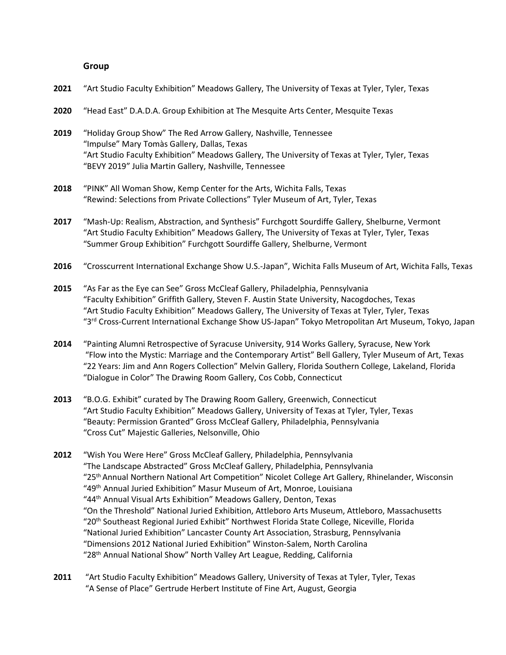#### **Group**

| 2021 | "Art Studio Faculty Exhibition" Meadows Gallery, The University of Texas at Tyler, Tyler, Texas                                                                                                                                                                                                                                                                                          |
|------|------------------------------------------------------------------------------------------------------------------------------------------------------------------------------------------------------------------------------------------------------------------------------------------------------------------------------------------------------------------------------------------|
| 2020 | "Head East" D.A.D.A. Group Exhibition at The Mesquite Arts Center, Mesquite Texas                                                                                                                                                                                                                                                                                                        |
| 2019 | "Holiday Group Show" The Red Arrow Gallery, Nashville, Tennessee<br>"Impulse" Mary Tomàs Gallery, Dallas, Texas<br>"Art Studio Faculty Exhibition" Meadows Gallery, The University of Texas at Tyler, Tyler, Texas<br>"BEVY 2019" Julia Martin Gallery, Nashville, Tennessee                                                                                                             |
| 2018 | "PINK" All Woman Show, Kemp Center for the Arts, Wichita Falls, Texas<br>"Rewind: Selections from Private Collections" Tyler Museum of Art, Tyler, Texas                                                                                                                                                                                                                                 |
| 2017 | "Mash-Up: Realism, Abstraction, and Synthesis" Furchgott Sourdiffe Gallery, Shelburne, Vermont<br>"Art Studio Faculty Exhibition" Meadows Gallery, The University of Texas at Tyler, Tyler, Texas<br>"Summer Group Exhibition" Furchgott Sourdiffe Gallery, Shelburne, Vermont                                                                                                           |
| 2016 | "Crosscurrent International Exchange Show U.S.-Japan", Wichita Falls Museum of Art, Wichita Falls, Texas                                                                                                                                                                                                                                                                                 |
| 2015 | "As Far as the Eye can See" Gross McCleaf Gallery, Philadelphia, Pennsylvania<br>"Faculty Exhibition" Griffith Gallery, Steven F. Austin State University, Nacogdoches, Texas<br>"Art Studio Faculty Exhibition" Meadows Gallery, The University of Texas at Tyler, Tyler, Texas<br>"3rd Cross-Current International Exchange Show US-Japan" Tokyo Metropolitan Art Museum, Tokyo, Japan |
| 2014 | "Painting Alumni Retrospective of Syracuse University, 914 Works Gallery, Syracuse, New York<br>"Flow into the Mystic: Marriage and the Contemporary Artist" Bell Gallery, Tyler Museum of Art, Texas<br>"22 Years: Jim and Ann Rogers Collection" Melvin Gallery, Florida Southern College, Lakeland, Florida<br>"Dialogue in Color" The Drawing Room Gallery, Cos Cobb, Connecticut    |
| 2013 | "B.O.G. Exhibit" curated by The Drawing Room Gallery, Greenwich, Connecticut<br>"Art Studio Faculty Exhibition" Meadows Gallery, University of Texas at Tyler, Tyler, Texas                                                                                                                                                                                                              |

- "Beauty: Permission Granted" Gross McCleaf Gallery, Philadelphia, Pennsylvania "Cross Cut" Majestic Galleries, Nelsonville, Ohio
- **2012** "Wish You Were Here" Gross McCleaf Gallery, Philadelphia, Pennsylvania "The Landscape Abstracted" Gross McCleaf Gallery, Philadelphia, Pennsylvania "25th Annual Northern National Art Competition" Nicolet College Art Gallery, Rhinelander, Wisconsin "49th Annual Juried Exhibition" Masur Museum of Art, Monroe, Louisiana "44th Annual Visual Arts Exhibition" Meadows Gallery, Denton, Texas "On the Threshold" National Juried Exhibition, Attleboro Arts Museum, Attleboro, Massachusetts "20th Southeast Regional Juried Exhibit" Northwest Florida State College, Niceville, Florida "National Juried Exhibition" Lancaster County Art Association, Strasburg, Pennsylvania "Dimensions 2012 National Juried Exhibition" Winston-Salem, North Carolina "28th Annual National Show" North Valley Art League, Redding, California
- **2011** "Art Studio Faculty Exhibition" Meadows Gallery, University of Texas at Tyler, Tyler, Texas "A Sense of Place" Gertrude Herbert Institute of Fine Art, August, Georgia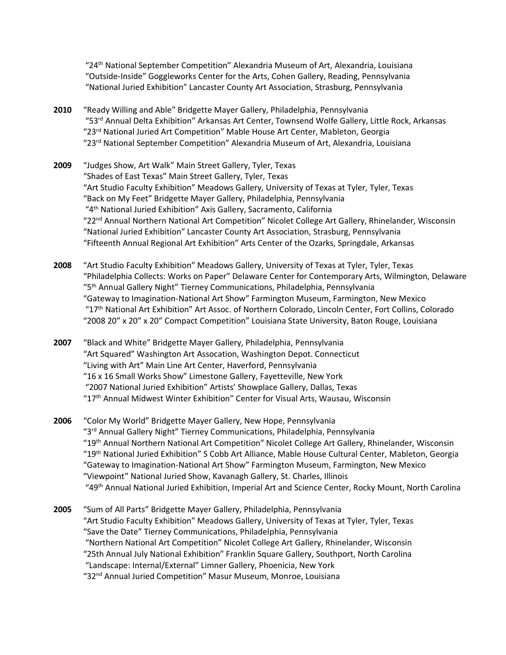"24th National September Competition" Alexandria Museum of Art, Alexandria, Louisiana "Outside-Inside" Goggleworks Center for the Arts, Cohen Gallery, Reading, Pennsylvania "National Juried Exhibition" Lancaster County Art Association, Strasburg, Pennsylvania

- **2010** "Ready Willing and Able" Bridgette Mayer Gallery, Philadelphia, Pennsylvania "53rd Annual Delta Exhibition" Arkansas Art Center, Townsend Wolfe Gallery, Little Rock, Arkansas "23rd National Juried Art Competition" Mable House Art Center, Mableton, Georgia "23rd National September Competition" Alexandria Museum of Art, Alexandria, Louisiana
- **2009** "Judges Show, Art Walk" Main Street Gallery, Tyler, Texas "Shades of East Texas" Main Street Gallery, Tyler, Texas "Art Studio Faculty Exhibition" Meadows Gallery, University of Texas at Tyler, Tyler, Texas "Back on My Feet" Bridgette Mayer Gallery, Philadelphia, Pennsylvania "4th National Juried Exhibition" Axis Gallery, Sacramento, California "22<sup>nd</sup> Annual Northern National Art Competition" Nicolet College Art Gallery, Rhinelander, Wisconsin "National Juried Exhibition" Lancaster County Art Association, Strasburg, Pennsylvania "Fifteenth Annual Regional Art Exhibition" Arts Center of the Ozarks, Springdale, Arkansas
- **2008** "Art Studio Faculty Exhibition" Meadows Gallery, University of Texas at Tyler, Tyler, Texas "Philadelphia Collects: Works on Paper" Delaware Center for Contemporary Arts, Wilmington, Delaware "5th Annual Gallery Night" Tierney Communications, Philadelphia, Pennsylvania "Gateway to Imagination-National Art Show" Farmington Museum, Farmington, New Mexico "17th National Art Exhibition" Art Assoc. of Northern Colorado, Lincoln Center, Fort Collins, Colorado "2008 20" x 20" x 20" Compact Competition" Louisiana State University, Baton Rouge, Louisiana
- **2007** "Black and White" Bridgette Mayer Gallery, Philadelphia, Pennsylvania "Art Squared" Washington Art Assocation, Washington Depot. Connecticut "Living with Art" Main Line Art Center, Haverford, Pennsylvania "16 x 16 Small Works Show" Limestone Gallery, Fayetteville, New York "2007 National Juried Exhibition" Artists' Showplace Gallery, Dallas, Texas "17th Annual Midwest Winter Exhibition" Center for Visual Arts, Wausau, Wisconsin
- **2006** "Color My World" Bridgette Mayer Gallery, New Hope, Pennsylvania "3rd Annual Gallery Night" Tierney Communications, Philadelphia, Pennsylvania "19th Annual Northern National Art Competition" Nicolet College Art Gallery, Rhinelander, Wisconsin "19th National Juried Exhibition" S Cobb Art Alliance, Mable House Cultural Center, Mableton, Georgia "Gateway to Imagination-National Art Show" Farmington Museum, Farmington, New Mexico "Viewpoint" National Juried Show, Kavanagh Gallery, St. Charles, Illinois "49th Annual National Juried Exhibition, Imperial Art and Science Center, Rocky Mount, North Carolina
- **2005** "Sum of All Parts" Bridgette Mayer Gallery, Philadelphia, Pennsylvania "Art Studio Faculty Exhibition" Meadows Gallery, University of Texas at Tyler, Tyler, Texas "Save the Date" Tierney Communications, Philadelphia, Pennsylvania "Northern National Art Competition" Nicolet College Art Gallery, Rhinelander, Wisconsin "25th Annual July National Exhibition" Franklin Square Gallery, Southport, North Carolina "Landscape: Internal/External" Limner Gallery, Phoenicia, New York "32nd Annual Juried Competition" Masur Museum, Monroe, Louisiana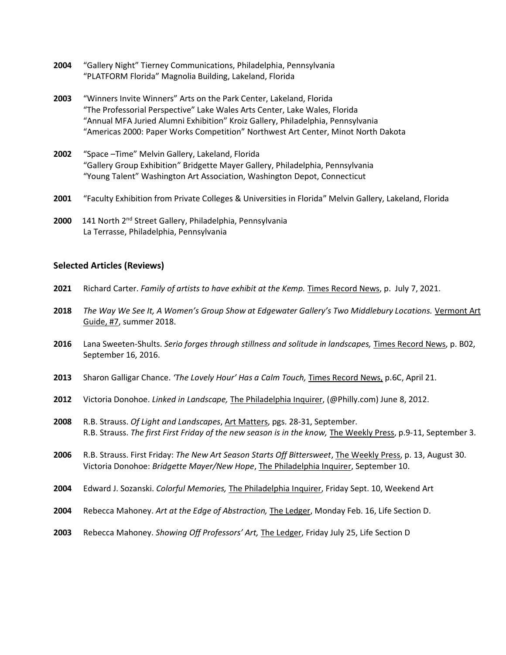- **2004** "Gallery Night" Tierney Communications, Philadelphia, Pennsylvania "PLATFORM Florida" Magnolia Building, Lakeland, Florida
- **2003** "Winners Invite Winners" Arts on the Park Center, Lakeland, Florida "The Professorial Perspective" Lake Wales Arts Center, Lake Wales, Florida "Annual MFA Juried Alumni Exhibition" Kroiz Gallery, Philadelphia, Pennsylvania "Americas 2000: Paper Works Competition" Northwest Art Center, Minot North Dakota
- **2002** "Space –Time" Melvin Gallery, Lakeland, Florida "Gallery Group Exhibition" Bridgette Mayer Gallery, Philadelphia, Pennsylvania "Young Talent" Washington Art Association, Washington Depot, Connecticut
- **2001** "Faculty Exhibition from Private Colleges & Universities in Florida" Melvin Gallery, Lakeland, Florida
- **2000** 141 North 2nd Street Gallery, Philadelphia, Pennsylvania La Terrasse, Philadelphia, Pennsylvania

#### **Selected Articles (Reviews)**

- **2021** Richard Carter. *Family of artists to have exhibit at the Kemp.* Times Record News, p. July 7, 2021.
- **2018** *The Way We See It, A Women's Group Show at Edgewater Gallery's Two Middlebury Locations.* Vermont Art Guide, #7, summer 2018.
- **2016** Lana Sweeten-Shults. *Serio forges through stillness and solitude in landscapes,* Times Record News, p. B02, September 16, 2016.
- **2013** Sharon Galligar Chance. *'The Lovely Hour' Has a Calm Touch,* Times Record News, p.6C, April 21.
- **2012** Victoria Donohoe. *Linked in Landscape,* The Philadelphia Inquirer, (@Philly.com) June 8, 2012.
- **2008** R.B. Strauss. *Of Light and Landscapes*, Art Matters, pgs. 28-31, September. R.B. Strauss. *The first First Friday of the new season is in the know,* The Weekly Press, p.9-11, September 3.
- **2006** R.B. Strauss. First Friday: *The New Art Season Starts Off Bittersweet*, The Weekly Press, p. 13, August 30. Victoria Donohoe: *Bridgette Mayer/New Hope*, The Philadelphia Inquirer, September 10.
- **2004** Edward J. Sozanski. *Colorful Memories,* The Philadelphia Inquirer, Friday Sept. 10, Weekend Art
- **2004** Rebecca Mahoney. *Art at the Edge of Abstraction,* The Ledger, Monday Feb. 16, Life Section D.
- **2003** Rebecca Mahoney. *Showing Off Professors' Art,* The Ledger, Friday July 25, Life Section D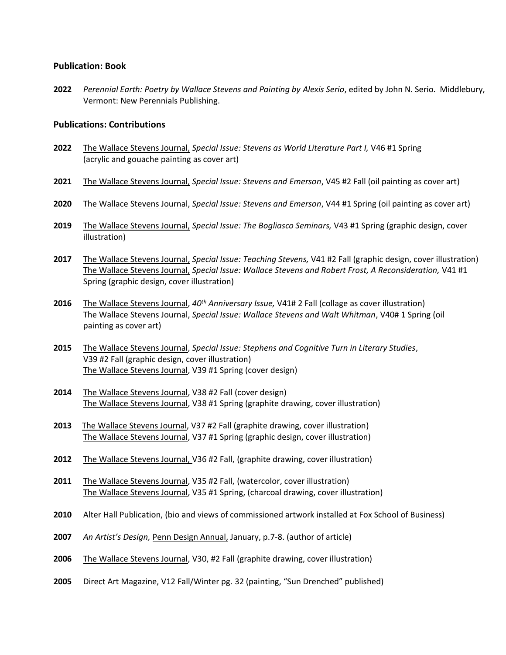#### **Publication: Book**

**2022** *Perennial Earth: Poetry by Wallace Stevens and Painting by Alexis Serio*, edited by John N. Serio. Middlebury, Vermont: New Perennials Publishing.

#### **Publications: Contributions**

- **2022** The Wallace Stevens Journal, *Special Issue: Stevens as World Literature Part I,* V46 #1 Spring (acrylic and gouache painting as cover art)
- **2021** The Wallace Stevens Journal, *Special Issue: Stevens and Emerson*, V45 #2 Fall (oil painting as cover art)
- **2020** The Wallace Stevens Journal, *Special Issue: Stevens and Emerson*, V44 #1 Spring (oil painting as cover art)
- **2019** The Wallace Stevens Journal, *Special Issue: The Bogliasco Seminars,* V43 #1 Spring (graphic design, cover illustration)
- **2017** The Wallace Stevens Journal, *Special Issue: Teaching Stevens,* V41 #2 Fall (graphic design, cover illustration) The Wallace Stevens Journal, *Special Issue: Wallace Stevens and Robert Frost, A Reconsideration,* V41 #1 Spring (graphic design, cover illustration)
- **2016** The Wallace Stevens Journal, *40th Anniversary Issue,* V41# 2 Fall (collage as cover illustration) The Wallace Stevens Journal, *Special Issue: Wallace Stevens and Walt Whitman*, V40# 1 Spring (oil painting as cover art)
- **2015** The Wallace Stevens Journal, *Special Issue: Stephens and Cognitive Turn in Literary Studies*, V39 #2 Fall (graphic design, cover illustration) The Wallace Stevens Journal, V39 #1 Spring (cover design)
- **2014** The Wallace Stevens Journal, V38 #2 Fall (cover design) The Wallace Stevens Journal, V38 #1 Spring (graphite drawing, cover illustration)
- **2013** The Wallace Stevens Journal, V37 #2 Fall (graphite drawing, cover illustration) The Wallace Stevens Journal, V37 #1 Spring (graphic design, cover illustration)
- **2012** The Wallace Stevens Journal, V36 #2 Fall, (graphite drawing, cover illustration)
- 2011 The Wallace Stevens Journal, V35 #2 Fall, (watercolor, cover illustration) The Wallace Stevens Journal, V35 #1 Spring, (charcoal drawing, cover illustration)
- **2010** Alter Hall Publication, (bio and views of commissioned artwork installed at Fox School of Business)
- **2007** *An Artist's Design,* Penn Design Annual, January, p.7-8. (author of article)
- **2006** The Wallace Stevens Journal, V30, #2 Fall (graphite drawing, cover illustration)
- **2005** Direct Art Magazine, V12 Fall/Winter pg. 32 (painting, "Sun Drenched" published)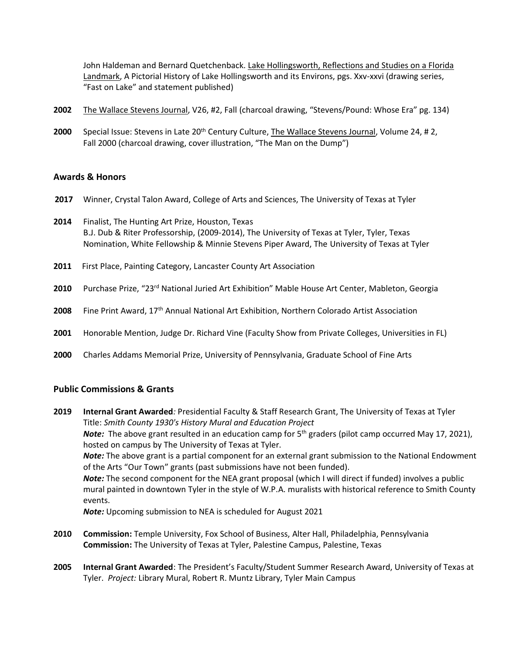John Haldeman and Bernard Quetchenback. Lake Hollingsworth, Reflections and Studies on a Florida Landmark, A Pictorial History of Lake Hollingsworth and its Environs, pgs. Xxv-xxvi (drawing series, "Fast on Lake" and statement published)

- **2002** The Wallace Stevens Journal, V26, #2, Fall (charcoal drawing, "Stevens/Pound: Whose Era" pg. 134)
- **2000** Special Issue: Stevens in Late 20<sup>th</sup> Century Culture, The Wallace Stevens Journal, Volume 24, #2, Fall 2000 (charcoal drawing, cover illustration, "The Man on the Dump")

#### **Awards & Honors**

- **2017** Winner, Crystal Talon Award, College of Arts and Sciences, The University of Texas at Tyler
- **2014** Finalist, The Hunting Art Prize, Houston, Texas B.J. Dub & Riter Professorship, (2009-2014), The University of Texas at Tyler, Tyler, Texas Nomination, White Fellowship & Minnie Stevens Piper Award, The University of Texas at Tyler
- **2011** First Place, Painting Category, Lancaster County Art Association
- 2010 Purchase Prize, "23<sup>rd</sup> National Juried Art Exhibition" Mable House Art Center, Mableton, Georgia
- **2008** Fine Print Award, 17th Annual National Art Exhibition, Northern Colorado Artist Association
- **2001** Honorable Mention, Judge Dr. Richard Vine (Faculty Show from Private Colleges, Universities in FL)
- **2000** Charles Addams Memorial Prize, University of Pennsylvania, Graduate School of Fine Arts

#### **Public Commissions & Grants**

**2019 Internal Grant Awarded***:* Presidential Faculty & Staff Research Grant, The University of Texas at Tyler Title: *Smith County 1930's History Mural and Education Project Note:* The above grant resulted in an education camp for 5<sup>th</sup> graders (pilot camp occurred May 17, 2021), hosted on campus by The University of Texas at Tyler. *Note:* The above grant is a partial component for an external grant submission to the National Endowment of the Arts "Our Town" grants (past submissions have not been funded). *Note:* The second component for the NEA grant proposal (which I will direct if funded) involves a public mural painted in downtown Tyler in the style of W.P.A. muralists with historical reference to Smith County events. *Note:* Upcoming submission to NEA is scheduled for August 2021

- **2010 Commission:** Temple University, Fox School of Business, Alter Hall, Philadelphia, Pennsylvania **Commission:** The University of Texas at Tyler, Palestine Campus, Palestine, Texas
- **2005 Internal Grant Awarded**: The President's Faculty/Student Summer Research Award, University of Texas at Tyler. *Project:* Library Mural, Robert R. Muntz Library, Tyler Main Campus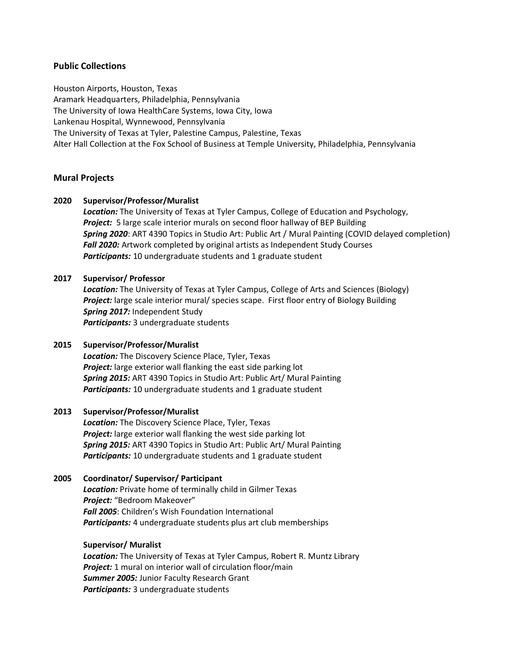#### **Public Collections**

Houston Airports, Houston, Texas Aramark Headquarters, Philadelphia, Pennsylvania The University of Iowa HealthCare Systems, Iowa City, Iowa Lankenau Hospital, Wynnewood, Pennsylvania

The University of Texas at Tyler, Palestine Campus, Palestine, Texas

Alter Hall Collection at the Fox School of Business at Temple University, Philadelphia, Pennsylvania

#### **Mural Projects**

#### **2020 Supervisor/Professor/Muralist**

*Location:* The University of Texas at Tyler Campus, College of Education and Psychology, **Project:** 5 large scale interior murals on second floor hallway of BEP Building *Spring 2020*: ART 4390 Topics in Studio Art: Public Art / Mural Painting (COVID delayed completion) *Fall 2020:* Artwork completed by original artists as Independent Study Courses *Participants:* 10 undergraduate students and 1 graduate student

#### **2017 Supervisor/ Professor**

*Location:* The University of Texas at Tyler Campus, College of Arts and Sciences (Biology) *Project:* large scale interior mural/ species scape. First floor entry of Biology Building *Spring 2017:* Independent Study *Participants:* 3 undergraduate students

#### **2015 Supervisor/Professor/Muralist**

*Location:* The Discovery Science Place, Tyler, Texas *Project:* large exterior wall flanking the east side parking lot *Spring 2015:* ART 4390 Topics in Studio Art: Public Art/ Mural Painting *Participants:* 10 undergraduate students and 1 graduate student

#### **2013 Supervisor/Professor/Muralist**

*Location:* The Discovery Science Place, Tyler, Texas *Project:* large exterior wall flanking the west side parking lot *Spring 2015:* ART 4390 Topics in Studio Art: Public Art/ Mural Painting *Participants:* 10 undergraduate students and 1 graduate student

#### **2005 Coordinator/ Supervisor/ Participant**

*Location:* Private home of terminally child in Gilmer Texas *Project:* "Bedroom Makeover" *Fall 2005*: Children's Wish Foundation International *Participants:* 4 undergraduate students plus art club memberships

#### **Supervisor/ Muralist**

*Location:* The University of Texas at Tyler Campus, Robert R. Muntz Library *Project:* 1 mural on interior wall of circulation floor/main *Summer 2005:* Junior Faculty Research Grant *Participants:* 3 undergraduate students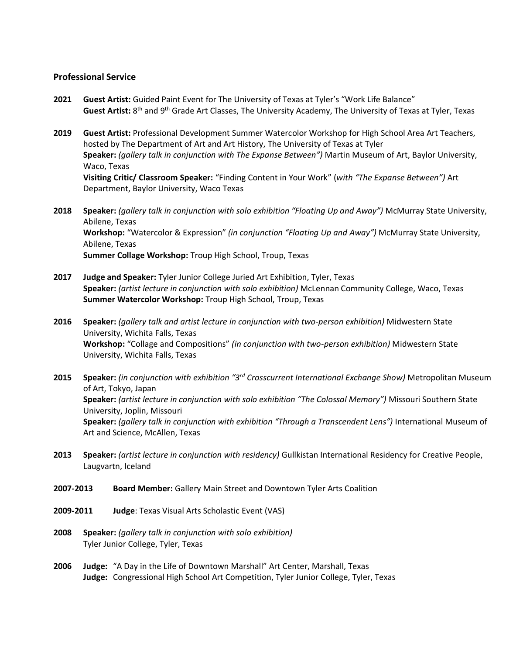#### **Professional Service**

- **2021 Guest Artist:** Guided Paint Event for The University of Texas at Tyler's "Work Life Balance" Guest Artist: 8<sup>th</sup> and 9<sup>th</sup> Grade Art Classes, The University Academy, The University of Texas at Tyler, Texas
- **2019 Guest Artist:** Professional Development Summer Watercolor Workshop for High School Area Art Teachers, hosted by The Department of Art and Art History, The University of Texas at Tyler **Speaker:** *(gallery talk in conjunction with The Expanse Between")* Martin Museum of Art, Baylor University, Waco, Texas **Visiting Critic/ Classroom Speaker:** "Finding Content in Your Work" (*with "The Expanse Between")* Art Department, Baylor University, Waco Texas
- **2018 Speaker:** *(gallery talk in conjunction with solo exhibition "Floating Up and Away")* McMurray State University, Abilene, Texas **Workshop:** "Watercolor & Expression" *(in conjunction "Floating Up and Away")* McMurray State University, Abilene, Texas **Summer Collage Workshop:** Troup High School, Troup, Texas
- **2017 Judge and Speaker:** Tyler Junior College Juried Art Exhibition, Tyler, Texas **Speaker:** *(artist lecture in conjunction with solo exhibition)* McLennan Community College, Waco, Texas **Summer Watercolor Workshop:** Troup High School, Troup, Texas
- **2016 Speaker:** *(gallery talk and artist lecture in conjunction with two-person exhibition)* Midwestern State University, Wichita Falls, Texas **Workshop:** "Collage and Compositions" *(in conjunction with two-person exhibition)* Midwestern State University, Wichita Falls, Texas
- **2015 Speaker:** *(in conjunction with exhibition "3rd Crosscurrent International Exchange Show)* Metropolitan Museum of Art, Tokyo, Japan **Speaker:** *(artist lecture in conjunction with solo exhibition "The Colossal Memory")* Missouri Southern State University, Joplin, Missouri **Speaker:** *(gallery talk in conjunction with exhibition "Through a Transcendent Lens")* International Museum of Art and Science, McAllen, Texas
- **2013 Speaker:** *(artist lecture in conjunction with residency)* Gullkistan International Residency for Creative People, Laugvartn, Iceland
- **2007-2013 Board Member:** Gallery Main Street and Downtown Tyler Arts Coalition
- **2009-2011 Judge**: Texas Visual Arts Scholastic Event (VAS)
- **2008 Speaker:** *(gallery talk in conjunction with solo exhibition)* Tyler Junior College, Tyler, Texas
- **2006 Judge:** "A Day in the Life of Downtown Marshall" Art Center, Marshall, Texas **Judge:** Congressional High School Art Competition, Tyler Junior College, Tyler, Texas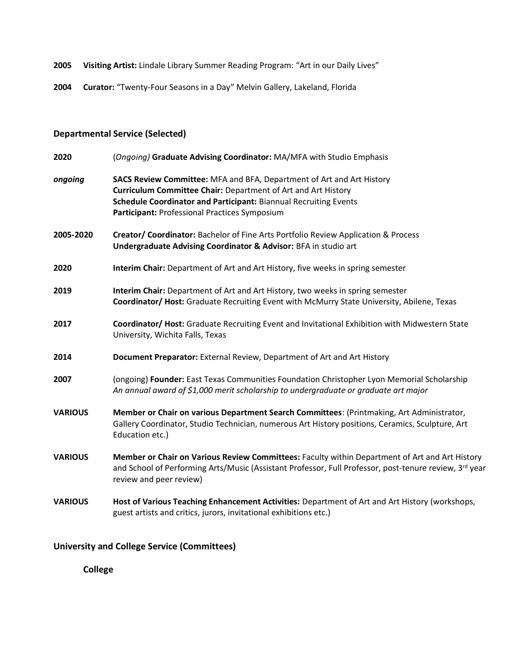- **2005 Visiting Artist:** Lindale Library Summer Reading Program: "Art in our Daily Lives"
- **2004 Curator:** "Twenty-Four Seasons in a Day" Melvin Gallery, Lakeland, Florida

# **Departmental Service (Selected)**

| 2020           | (Ongoing) Graduate Advising Coordinator: MA/MFA with Studio Emphasis                                                                                                                                                                                        |
|----------------|-------------------------------------------------------------------------------------------------------------------------------------------------------------------------------------------------------------------------------------------------------------|
| ongoing        | SACS Review Committee: MFA and BFA, Department of Art and Art History<br>Curriculum Committee Chair: Department of Art and Art History<br>Schedule Coordinator and Participant: Biannual Recruiting Events<br>Participant: Professional Practices Symposium |
| 2005-2020      | Creator/ Coordinator: Bachelor of Fine Arts Portfolio Review Application & Process<br>Undergraduate Advising Coordinator & Advisor: BFA in studio art                                                                                                       |
| 2020           | Interim Chair: Department of Art and Art History, five weeks in spring semester                                                                                                                                                                             |
| 2019           | Interim Chair: Department of Art and Art History, two weeks in spring semester<br>Coordinator/ Host: Graduate Recruiting Event with McMurry State University, Abilene, Texas                                                                                |
| 2017           | Coordinator/ Host: Graduate Recruiting Event and Invitational Exhibition with Midwestern State<br>University, Wichita Falls, Texas                                                                                                                          |
| 2014           | Document Preparator: External Review, Department of Art and Art History                                                                                                                                                                                     |
| 2007           | (ongoing) Founder: East Texas Communities Foundation Christopher Lyon Memorial Scholarship<br>An annual award of \$1,000 merit scholarship to undergraduate or graduate art major                                                                           |
| <b>VARIOUS</b> | Member or Chair on various Department Search Committees: (Printmaking, Art Administrator,<br>Gallery Coordinator, Studio Technician, numerous Art History positions, Ceramics, Sculpture, Art<br>Education etc.)                                            |
| <b>VARIOUS</b> | Member or Chair on Various Review Committees: Faculty within Department of Art and Art History<br>and School of Performing Arts/Music (Assistant Professor, Full Professor, post-tenure review, 3rd year<br>review and peer review)                         |
| <b>VARIOUS</b> | Host of Various Teaching Enhancement Activities: Department of Art and Art History (workshops,<br>guest artists and critics, jurors, invitational exhibitions etc.)                                                                                         |

# **University and College Service (Committees)**

**College**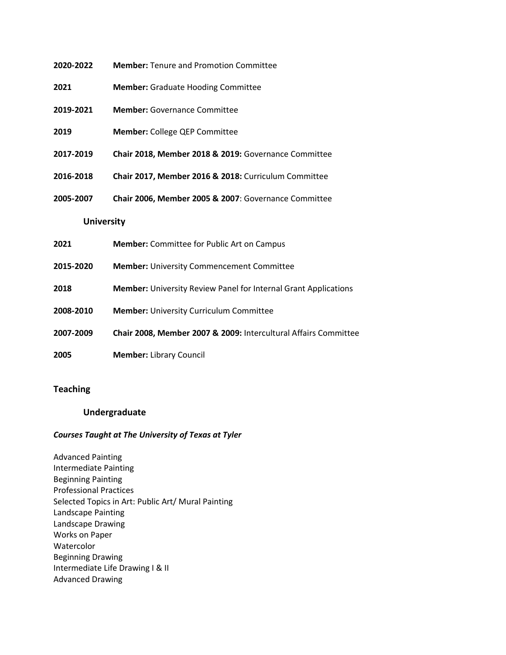- **2020-2022 Member:** Tenure and Promotion Committee
- **2021 Member:** Graduate Hooding Committee
- **2019-2021 Member:** Governance Committee
- **2019 Member:** College QEP Committee
- **2017-2019 Chair 2018, Member 2018 & 2019:** Governance Committee
- **2016-2018 Chair 2017, Member 2016 & 2018:** Curriculum Committee
- **2005-2007 Chair 2006, Member 2005 & 2007**: Governance Committee

#### **University**

| 2021      | <b>Member:</b> Committee for Public Art on Campus                      |
|-----------|------------------------------------------------------------------------|
| 2015-2020 | <b>Member:</b> University Commencement Committee                       |
| 2018      | <b>Member:</b> University Review Panel for Internal Grant Applications |
| 2008-2010 | <b>Member: University Curriculum Committee</b>                         |
| 2007-2009 | Chair 2008, Member 2007 & 2009: Intercultural Affairs Committee        |
| 2005      | <b>Member: Library Council</b>                                         |

#### **Teaching**

#### **Undergraduate**

#### *Courses Taught at The University of Texas at Tyler*

Advanced Painting Intermediate Painting Beginning Painting Professional Practices Selected Topics in Art: Public Art/ Mural Painting Landscape Painting Landscape Drawing Works on Paper Watercolor Beginning Drawing Intermediate Life Drawing I & II Advanced Drawing